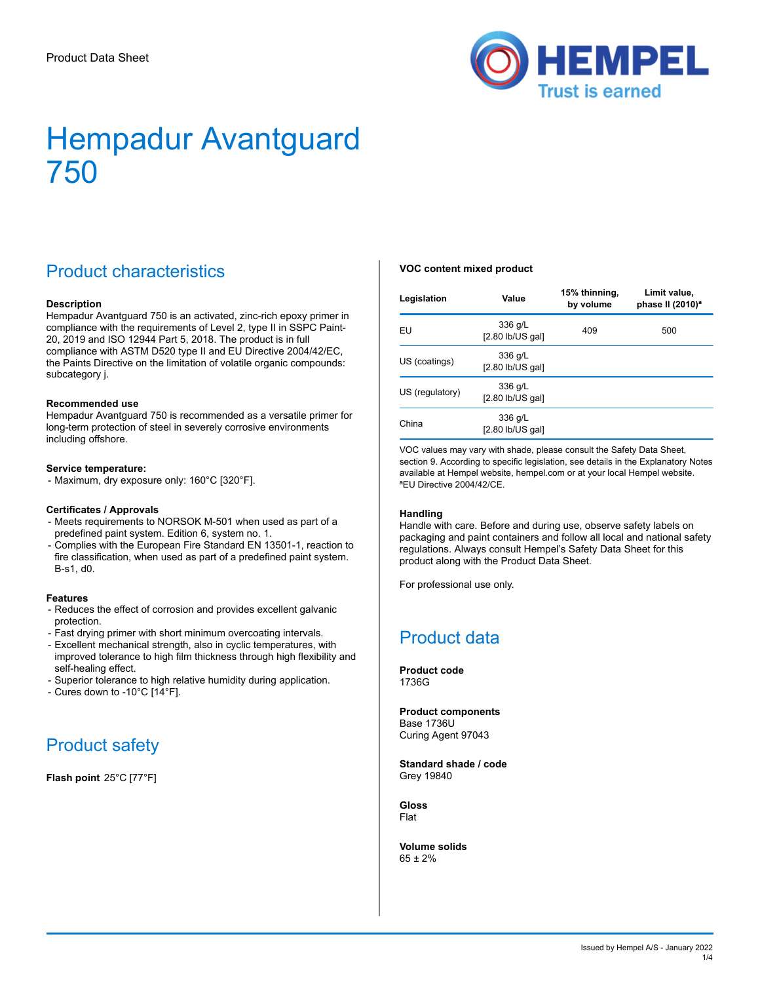

## Product characteristics

#### **Description**

Hempadur Avantguard 750 is an activated, zinc-rich epoxy primer in compliance with the requirements of Level 2, type II in SSPC Paint-20, 2019 and ISO 12944 Part 5, 2018. The product is in full compliance with ASTM D520 type II and EU Directive 2004/42/EC, the Paints Directive on the limitation of volatile organic compounds: subcategory j.

#### **Recommended use**

Hempadur Avantguard 750 is recommended as a versatile primer for long-term protection of steel in severely corrosive environments including offshore.

#### **Service temperature:**

- Maximum, dry exposure only: 160°C [320°F].

#### **Certificates / Approvals**

- Meets requirements to NORSOK M-501 when used as part of a predefined paint system. Edition 6, system no. 1.
- Complies with the European Fire Standard EN 13501-1, reaction to fire classification, when used as part of a predefined paint system. B-s1, d0.

#### **Features**

- Reduces the effect of corrosion and provides excellent galvanic protection.
- Fast drying primer with short minimum overcoating intervals.
- Excellent mechanical strength, also in cyclic temperatures, with improved tolerance to high film thickness through high flexibility and self-healing effect.
- Superior tolerance to high relative humidity during application.
- Cures down to -10°C [14°F].

## Product safety

**Flash point** 25°C [77°F]

#### **VOC content mixed product**

| Legislation                                      | Value                         | 15% thinning,<br>by volume | Limit value.<br>phase II (2010) <sup>a</sup> |  |
|--------------------------------------------------|-------------------------------|----------------------------|----------------------------------------------|--|
| EU                                               | 336 g/L<br>[2.80 lb/US gal]   | 409                        | 500                                          |  |
| US (coatings)                                    | 336 g/L<br>$[2.80$ lb/US gal] |                            |                                              |  |
| 336 g/L<br>US (regulatory)<br>$[2.80$ lb/US gal] |                               |                            |                                              |  |
| China                                            | 336 g/L<br>$[2.80$ lb/US gal] |                            |                                              |  |

VOC values may vary with shade, please consult the Safety Data Sheet, section 9. According to specific legislation, see details in the Explanatory Notes available at Hempel website, hempel.com or at your local Hempel website. <sup>a</sup>EU Directive 2004/42/CE.

#### **Handling**

Handle with care. Before and during use, observe safety labels on packaging and paint containers and follow all local and national safety regulations. Always consult Hempel's Safety Data Sheet for this product along with the Product Data Sheet.

For professional use only.

### Product data

**Product code** 1736G

**Product components** Base 1736U Curing Agent 97043

**Standard shade / code** Grey 19840

**Gloss** Flat

**Volume solids** 65 ± 2%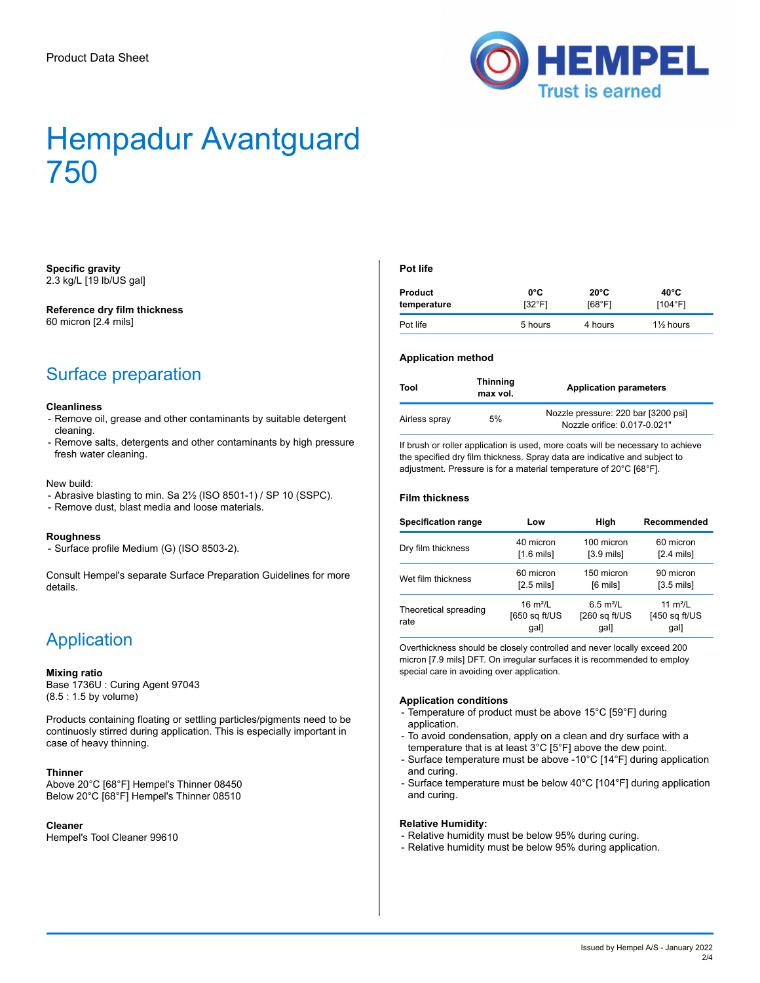

#### **Specific gravity** 2.3 kg/L [19 lb/US gal]

### **Reference dry film thickness**

60 micron [2.4 mils]

## Surface preparation

#### **Cleanliness**

- Remove oil, grease and other contaminants by suitable detergent cleaning.
- Remove salts, detergents and other contaminants by high pressure fresh water cleaning.

#### New build:

- Abrasive blasting to min. Sa 2½ (ISO 8501-1) / SP 10 (SSPC).
- Remove dust, blast media and loose materials.

#### **Roughness**

- Surface profile Medium (G) (ISO 8503-2).

Consult Hempel's separate Surface Preparation Guidelines for more details.

### **Application**

#### **Mixing ratio**

Base 1736U : Curing Agent 97043 (8.5 : 1.5 by volume)

Products containing floating or settling particles/pigments need to be continuosly stirred during application. This is especially important in case of heavy thinning.

#### **Thinner**

Above 20°C [68°F] Hempel's Thinner 08450 Below 20°C [68°F] Hempel's Thinner 08510

#### **Cleaner**

Hempel's Tool Cleaner 99610

#### **Pot life**

| Product     | 0°C     | $20^{\circ}$ C | 40°C                 |
|-------------|---------|----------------|----------------------|
| temperature | [32°F]  | [68°F]         | [104°F]              |
| Pot life    | 5 hours | 4 hours        | $1\frac{1}{2}$ hours |

#### **Application method**

| Tool          | <b>Thinning</b><br>max vol. | <b>Application parameters</b>                                       |
|---------------|-----------------------------|---------------------------------------------------------------------|
| Airless spray | 5%                          | Nozzle pressure: 220 bar [3200 psi]<br>Nozzle orifice: 0.017-0.021" |

If brush or roller application is used, more coats will be necessary to achieve the specified dry film thickness. Spray data are indicative and subject to adjustment. Pressure is for a material temperature of 20°C [68°F].

#### **Film thickness**

| <b>Specification range</b>    | Low                                   | High                                   | Recommended                           |  |
|-------------------------------|---------------------------------------|----------------------------------------|---------------------------------------|--|
| Dry film thickness            | 40 micron<br>$[1.6 \text{ mils}]$     | 100 micron<br>$[3.9 \text{ mils}]$     | 60 micron<br>$[2.4 \text{ mils}]$     |  |
| Wet film thickness            | 60 micron<br>$[2.5 \text{ mils}]$     | 150 micron<br>[6 mils]                 |                                       |  |
| Theoretical spreading<br>rate | 16 $m^2/L$<br>$[650$ sq ft/US<br>gal] | 6.5 $m^2/L$<br>$[260$ sq ft/US<br>gal] | 11 $m^2/L$<br>$[450$ sq ft/US<br>gal] |  |

Overthickness should be closely controlled and never locally exceed 200 micron [7.9 mils] DFT. On irregular surfaces it is recommended to employ special care in avoiding over application.

#### **Application conditions**

- Temperature of product must be above 15°C [59°F] during application.
- To avoid condensation, apply on a clean and dry surface with a temperature that is at least 3°C [5°F] above the dew point.
- Surface temperature must be above -10°C [14°F] during application and curing.
- Surface temperature must be below 40°C [104°F] during application and curing.

#### **Relative Humidity:**

- Relative humidity must be below 95% during curing.
- Relative humidity must be below 95% during application.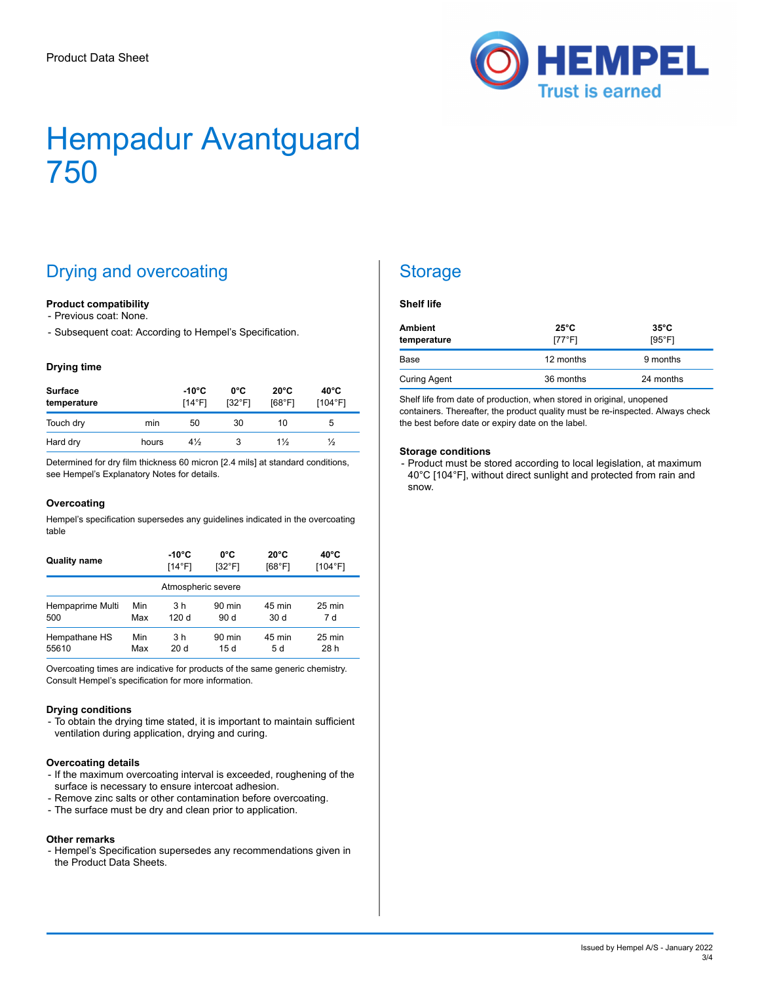

## Drying and overcoating

#### **Product compatibility**

- Previous coat: None.

- Subsequent coat: According to Hempel's Specification.

#### **Drying time**

| <b>Surface</b><br>temperature |       | -10°C<br>$14^{\circ}$ F1 | 0°C<br>$132^{\circ}$ F1 | $20^{\circ}$ C<br>[68°F1 | $40^{\circ}$ C<br>[104°F] |
|-------------------------------|-------|--------------------------|-------------------------|--------------------------|---------------------------|
| Touch dry                     | min   | 50                       | 30                      | 10                       | 5                         |
| Hard dry                      | hours | $4\frac{1}{2}$           | 3                       | $1\frac{1}{2}$           | $\frac{1}{2}$             |

Determined for dry film thickness 60 micron [2.4 mils] at standard conditions, see Hempel's Explanatory Notes for details.

#### **Overcoating**

Hempel's specification supersedes any guidelines indicated in the overcoating table

| <b>Quality name</b> |     | -10°C            | 0°C              | $20^{\circ}$ C | $40^{\circ}$ C |
|---------------------|-----|------------------|------------------|----------------|----------------|
|                     |     | $[14^{\circ}$ F] | $132^{\circ}$ F1 | [68°F]         | [104°F]        |
| Atmospheric severe  |     |                  |                  |                |                |
| Hempaprime Multi    | Min | 3 h              | $90$ min         | 45 min         | 25 min         |
| 500                 | Max | 120 d            | 90d              | 30 d           | 7 d            |
| Hempathane HS       | Min | 3 h              | $90$ min         | 45 min         | 25 min         |
| 55610               | Max | 20 d             | 15d              | 5 d            | 28 h           |

Overcoating times are indicative for products of the same generic chemistry. Consult Hempel's specification for more information.

#### **Drying conditions**

- To obtain the drying time stated, it is important to maintain sufficient ventilation during application, drying and curing.

#### **Overcoating details**

- If the maximum overcoating interval is exceeded, roughening of the surface is necessary to ensure intercoat adhesion.
- Remove zinc salts or other contamination before overcoating.
- The surface must be dry and clean prior to application.

#### **Other remarks**

- Hempel's Specification supersedes any recommendations given in the Product Data Sheets.

### **Storage**

#### **Shelf life**

| Ambient<br>temperature | $25^{\circ}$ C<br>$[77^{\circ}$ F] | $35^{\circ}$ C<br>$[95^{\circ}$ F] |  |
|------------------------|------------------------------------|------------------------------------|--|
| Base                   | 12 months                          | 9 months                           |  |
| <b>Curing Agent</b>    | 36 months                          | 24 months                          |  |

Shelf life from date of production, when stored in original, unopened containers. Thereafter, the product quality must be re-inspected. Always check the best before date or expiry date on the label.

#### **Storage conditions**

- Product must be stored according to local legislation, at maximum 40°C [104°F], without direct sunlight and protected from rain and snow.